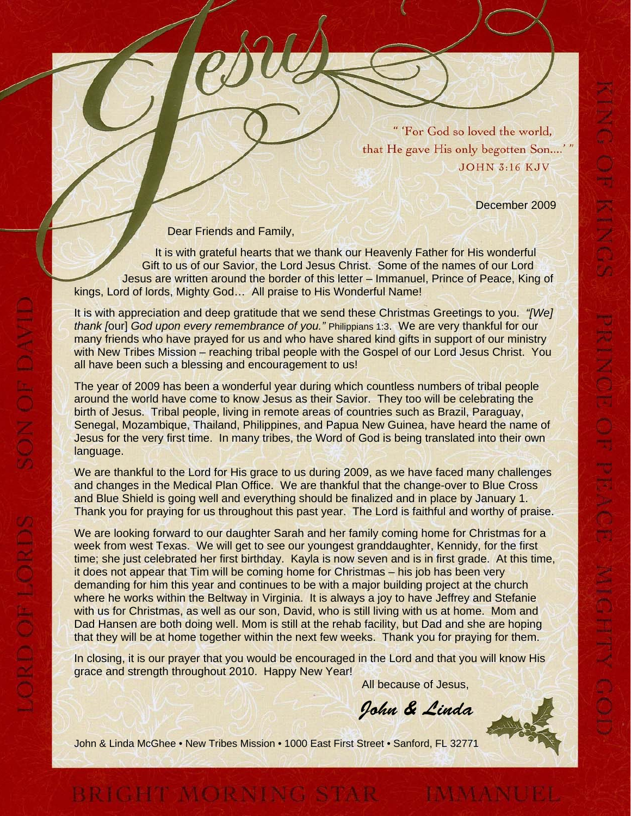"'For God so loved the world, that He gave His only begotten Son....'" **JOHN 3:16 KJV** 

December 2009

Dear Friends and Family,

SON OF DAVI

ORD OF LORDS

г.

It is with grateful hearts that we thank our Heavenly Father for His wonderful Gift to us of our Savior, the Lord Jesus Christ. Some of the names of our Lord Jesus are written around the border of this letter – Immanuel, Prince of Peace, King of kings, Lord of lords, Mighty God… All praise to His Wonderful Name!

It is with appreciation and deep gratitude that we send these Christmas Greetings to you. *"[We] thank [*our] *God upon every remembrance of you."* Philippians 1:3. We are very thankful for our many friends who have prayed for us and who have shared kind gifts in support of our ministry with New Tribes Mission – reaching tribal people with the Gospel of our Lord Jesus Christ. You all have been such a blessing and encouragement to us!

The year of 2009 has been a wonderful year during which countless numbers of tribal people around the world have come to know Jesus as their Savior. They too will be celebrating the birth of Jesus. Tribal people, living in remote areas of countries such as Brazil, Paraguay, Senegal, Mozambique, Thailand, Philippines, and Papua New Guinea, have heard the name of Jesus for the very first time. In many tribes, the Word of God is being translated into their own language.

We are thankful to the Lord for His grace to us during 2009, as we have faced many challenges and changes in the Medical Plan Office. We are thankful that the change-over to Blue Cross and Blue Shield is going well and everything should be finalized and in place by January 1. Thank you for praying for us throughout this past year. The Lord is faithful and worthy of praise.

We are looking forward to our daughter Sarah and her family coming home for Christmas for a week from west Texas. We will get to see our youngest granddaughter, Kennidy, for the first time; she just celebrated her first birthday. Kayla is now seven and is in first grade. At this time, it does not appear that Tim will be coming home for Christmas – his job has been very demanding for him this year and continues to be with a major building project at the church where he works within the Beltway in Virginia. It is always a joy to have Jeffrey and Stefanie with us for Christmas, as well as our son, David, who is still living with us at home. Mom and Dad Hansen are both doing well. Mom is still at the rehab facility, but Dad and she are hoping that they will be at home together within the next few weeks. Thank you for praying for them.

In closing, it is our prayer that you would be encouraged in the Lord and that you will know His grace and strength throughout 2010. Happy New Year!

All because of Jesus,

John & Linda

John & Linda McGhee • New Tribes Mission • 1000 East First Street • Sanford, FL 32771

BRIGHT MORNING STAR MMANUEL